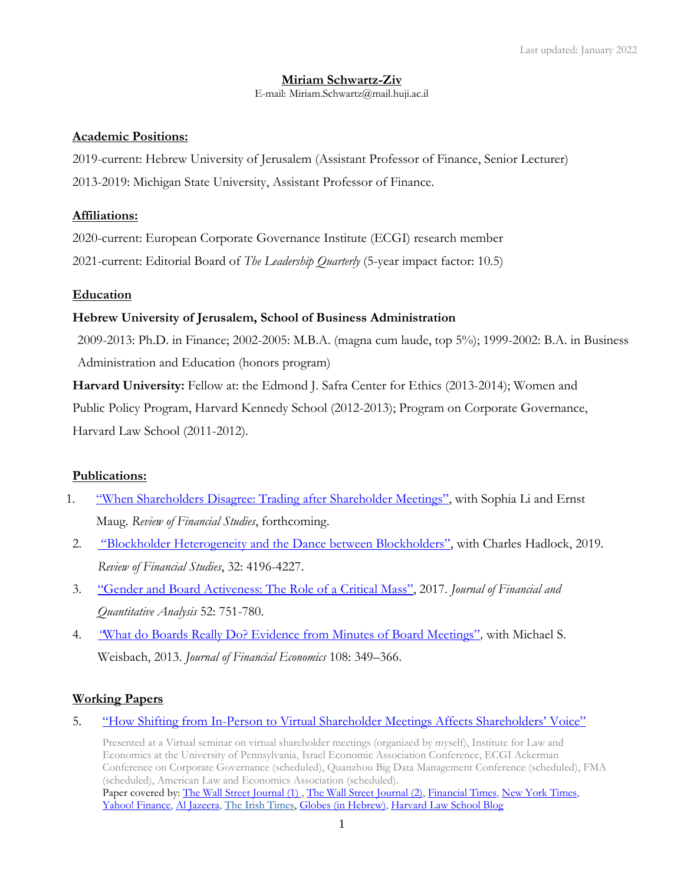# **Miriam Schwartz-Ziv**

E-mail: Miriam.Schwartz@mail.huji.ac.il

# **Academic Positions:**

2019-current: Hebrew University of Jerusalem (Assistant Professor of Finance, Senior Lecturer) 2013-2019: Michigan State University, Assistant Professor of Finance.

# **Affiliations:**

2020-current: European Corporate Governance Institute (ECGI) research member 2021-current: Editorial Board of *The Leadership Quarterly* (5-year impact factor: 10.5)

# **Education**

# **Hebrew University of Jerusalem, School of Business Administration**

2009-2013: Ph.D. in Finance; 2002-2005: M.B.A. (magna cum laude, top 5%); 1999-2002: B.A. in Business Administration and Education (honors program)

**Harvard University:** Fellow at: the Edmond J. Safra Center for Ethics (2013-2014); Women and Public Policy Program, Harvard Kennedy School (2012-2013); Program on Corporate Governance, Harvard Law School (2011-2012).

# **Publications:**

- 1. "W[hen Shareholders Disagree: Trading after Shareholder Meetings](https://papers.ssrn.com/sol3/papers.cfm?abstract_id=3095745)", with Sophia Li and Ernst Maug. *Review of Financial Studies*, forthcoming.
- 2. "Blockholder [Heterogeneity and the Dance between Blockholders"](http://bschool.huji.ac.il/.upload/staff/MiriamSZ/Blockholder_Heterogeneity.pdf), with Charles Hadlock, 2019. *Review of Financial Studies*, 32: 4196-4227.
- 3. ["Gender and Board Activeness: The Role of a Critical Mass"](http://bschool.huji.ac.il/.upload/staff/MiriamSZ/gender_and_board.pdf), 2017. *Journal of Financial and Quantitative Analysis* 52: 751-780.
- 4. *"*[What do Boards Really Do? Evidence from Minutes of Board Meetings"](http://bschool.huji.ac.il/.upload/staff/MiriamSZ/What_do_boards_really_do.pdf)*,* with Michael S. Weisbach, 2013. *Journal of Financial Economics* 108: 349–366.

# **Working Papers**

5. "How Shifting from In-[Person to Virtual Shareholder Meetings Affects Shareholders' Voice"](https://papers.ssrn.com/sol3/papers.cfm?abstract_id=3674998)

Presented at a Virtual seminar on virtual shareholder meetings (organized by myself), Institute for Law and Economics at the University of Pennsylvania, Israel Economic Association Conference, ECGI Ackerman Conference on Corporate Governance (scheduled), Quanzhou Big Data Management Conference (scheduled), FMA (scheduled), American Law and Economics Association (scheduled). Paper covered by[: The Wall Street Journal \(1\)](https://3977af1f-e6ce-49e0-b76e-c110d05c634b.filesusr.com/ugd/a343e6_bd3abb2bd1804e48ac7e4016a8645836.pdf)[, The Wall Street Journal \(2\),](https://3977af1f-e6ce-49e0-b76e-c110d05c634b.filesusr.com/ugd/a343e6_e3a5a3c4a133470ab23082043ceb46d9.pdf) [Financial Times,](https://3977af1f-e6ce-49e0-b76e-c110d05c634b.filesusr.com/ugd/a343e6_c2321601353d41e39b3f3266916867cd.pdf) New York Times, [Yahoo! Finance,](https://finance.yahoo.com/news/u-activists-complain-virtual-shareholder-114135191.html) [Al Jazeera,](https://www.aljazeera.com/economy/2020/8/18/are-virtual-shareholder-meetings-freezing-out-esg-activists) [The Irish Times,](https://www.irishtimes.com/business/virtual-agms-show-little-regard-for-small-investors-1.4346938) [Globes \(in Hebrew\),](https://3977af1f-e6ce-49e0-b76e-c110d05c634b.filesusr.com/ugd/a343e6_150b9e54e7504eb2b3c83e605d17f306.pdf) [Harvard Law School Blog](https://corpgov.law.harvard.edu/2020/08/18/how-shifting-from-in-person-to-virtual-shareholder-meetings-affects-shareholders-voice/)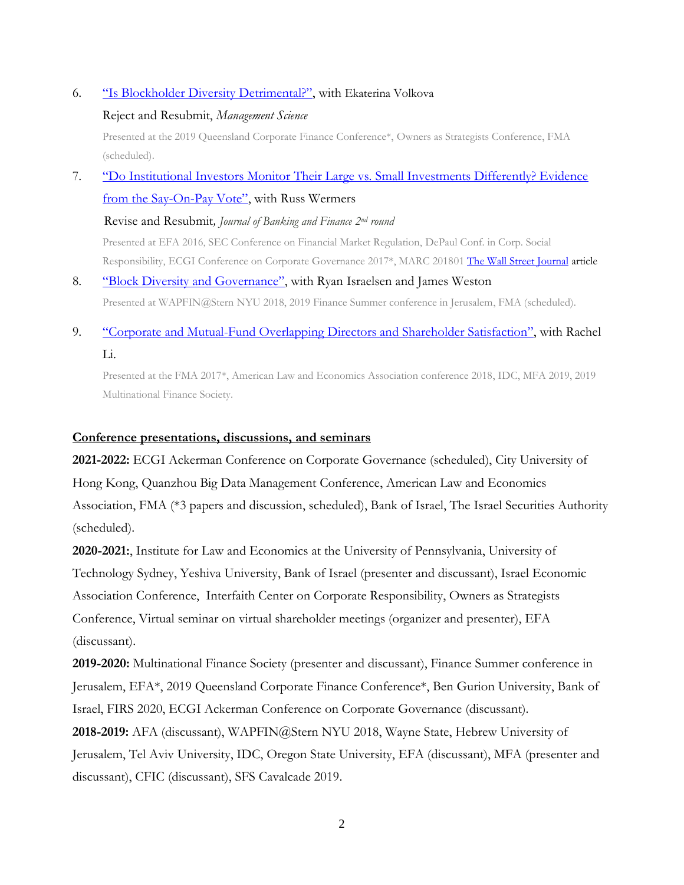# 6. ["Is Blockholder Diversity Detrimental?"](https://papers.ssrn.com/sol3/papers.cfm?abstract_id=3621939), with Ekaterina Volkova

### Reject and Resubmit, *Management Science*

Presented at the 2019 Queensland Corporate Finance Conference\*, Owners as Strategists Conference, FMA (scheduled).

7. "Do Institutional Investors Monitor [Their Large vs. Small Investments Differently? Evidence](http://papers.ssrn.com/sol3/papers.cfm?abstract_id=2510442)  [from the Say-On-](http://papers.ssrn.com/sol3/papers.cfm?abstract_id=2510442)Pay Vote", with Russ Wermers

Revise and Resubmit*, Journal of Banking and Finance 2nd round*

Presented at EFA 2016, SEC Conference on Financial Market Regulation, DePaul Conf. in Corp. Social Responsibility, ECGI Conference on Corporate Governance 2017\*, MARC 201801 [The Wall Street Journal](https://blogs.wsj.com/moneybeat/2018/04/20/do-index-funds-cost-100-times-as-much-as-you-think/#livefyre-toggle-BL-MBB-67851) article

- 8. ["Block Diversity and Governance"](https://papers.ssrn.com/sol3/papers.cfm?abstract_id=3810532), with Ryan Israelsen and James Weston Presented at WAPFIN@Stern NYU 2018, 2019 Finance Summer conference in Jerusalem, FMA (scheduled).
- 9. "Corporate and Mutual-[Fund Overlapping Directors and Shareholder Satisfaction"](https://papers.ssrn.com/sol3/papers.cfm?abstract_id=3278243), with Rachel Li.

Presented at the FMA 2017\*, American Law and Economics Association conference 2018, IDC, MFA 2019, 2019 Multinational Finance Society.

# **Conference presentations, discussions, and seminars**

**2021-2022:** ECGI Ackerman Conference on Corporate Governance (scheduled), City University of Hong Kong, Quanzhou Big Data Management Conference, American Law and Economics Association, FMA (\*3 papers and discussion, scheduled), Bank of Israel, The Israel Securities Authority (scheduled).

**2020-2021:**, Institute for Law and Economics at the University of Pennsylvania, University of Technology Sydney, Yeshiva University, Bank of Israel (presenter and discussant), Israel Economic Association Conference, Interfaith Center on Corporate Responsibility, Owners as Strategists Conference, Virtual seminar on virtual shareholder meetings (organizer and presenter), EFA (discussant).

**2019-2020:** Multinational Finance Society (presenter and discussant), Finance Summer conference in Jerusalem, EFA\*, 2019 Queensland Corporate Finance Conference\*, Ben Gurion University, Bank of Israel, FIRS 2020, ECGI Ackerman Conference on Corporate Governance (discussant).

**2018-2019:** AFA (discussant), WAPFIN@Stern NYU 2018, Wayne State, Hebrew University of Jerusalem, Tel Aviv University, IDC, Oregon State University, EFA (discussant), MFA (presenter and discussant), CFIC (discussant), SFS Cavalcade 2019.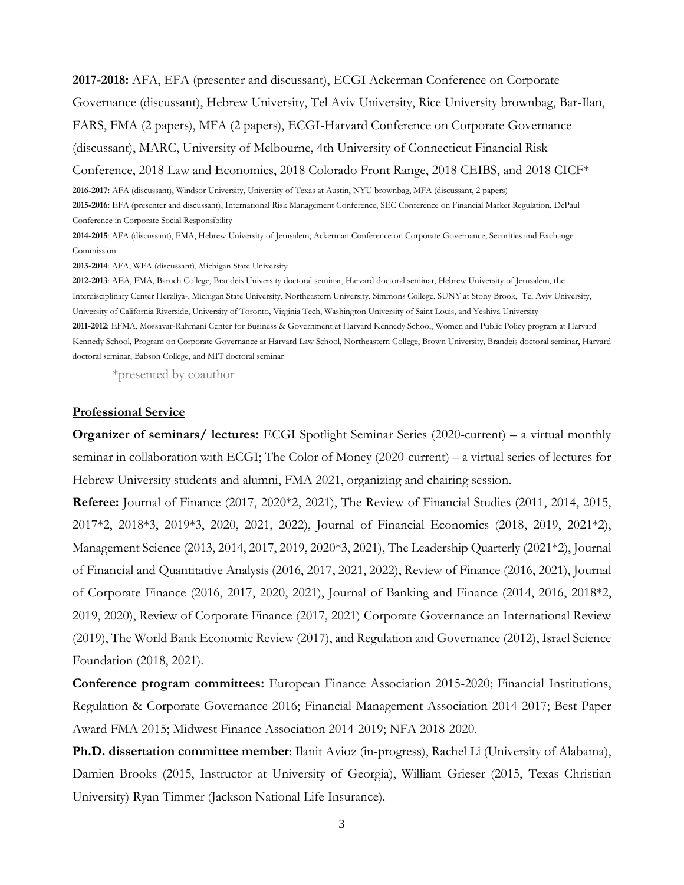**2017-2018:** AFA, EFA (presenter and discussant), ECGI Ackerman Conference on Corporate Governance (discussant), Hebrew University, Tel Aviv University, Rice University brownbag, Bar-Ilan, FARS, FMA (2 papers), MFA (2 papers), ECGI-Harvard Conference on Corporate Governance (discussant), MARC, University of Melbourne, 4th University of Connecticut Financial Risk Conference, 2018 Law and Economics, 2018 Colorado Front Range, 2018 CEIBS, and 2018 CICF\* **2016-2017:** AFA (discussant), Windsor University, University of Texas at Austin, NYU brownbag, MFA (discussant, 2 papers)

**2015-2016:** EFA (presenter and discussant), International Risk Management Conference, SEC Conference on Financial Market Regulation, DePaul Conference in Corporate Social Responsibility

**2014-2015**: AFA (discussant), FMA, Hebrew University of Jerusalem, Ackerman Conference on Corporate Governance, Securities and Exchange Commission

**2013-2014**: AFA, WFA (discussant), Michigan State University

**2012-2013**: AEA, FMA, Baruch College, Brandeis University doctoral seminar, Harvard doctoral seminar, Hebrew University of Jerusalem, the Interdisciplinary Center Herzliya-, Michigan State University, Northeastern University, Simmons College, SUNY at Stony Brook, Tel Aviv University, University of California Riverside, University of Toronto, Virginia Tech, Washington University of Saint Louis, and Yeshiva University **2011-2012**: EFMA, Mossavar-Rahmani Center for Business & Government at Harvard Kennedy School, Women and Public Policy program at Harvard Kennedy School, Program on Corporate Governance at Harvard Law School, Northeastern College, Brown University, Brandeis doctoral seminar, Harvard doctoral seminar, Babson College, and MIT doctoral seminar

\*presented by coauthor

#### **Professional Service**

**Organizer of seminars/ lectures:** ECGI Spotlight Seminar Series (2020-current) – a virtual monthly seminar in collaboration with ECGI; The Color of Money (2020-current) – a virtual series of lectures for Hebrew University students and alumni, FMA 2021, organizing and chairing session.

**Referee:** Journal of Finance (2017, 2020\*2, 2021), The Review of Financial Studies (2011, 2014, 2015, 2017\*2, 2018\*3, 2019\*3, 2020, 2021, 2022), Journal of Financial Economics (2018, 2019, 2021\*2), Management Science (2013, 2014, 2017, 2019, 2020\*3, 2021), The Leadership Quarterly (2021\*2), Journal of Financial and Quantitative Analysis (2016, 2017, 2021, 2022), Review of Finance (2016, 2021), Journal of Corporate Finance (2016, 2017, 2020, 2021), Journal of Banking and Finance (2014, 2016, 2018\*2, 2019, 2020), Review of Corporate Finance (2017, 2021) Corporate Governance an International Review (2019), The World Bank Economic Review (2017), and Regulation and Governance (2012), Israel Science Foundation (2018, 2021).

**Conference program committees:** European Finance Association 2015-2020; Financial Institutions, Regulation & Corporate Governance 2016; Financial Management Association 2014-2017; Best Paper Award FMA 2015; Midwest Finance Association 2014-2019; NFA 2018-2020.

**Ph.D. dissertation committee member**: Ilanit Avioz (in-progress), Rachel Li (University of Alabama), Damien Brooks (2015, Instructor at University of Georgia), William Grieser (2015, Texas Christian University) Ryan Timmer (Jackson National Life Insurance).